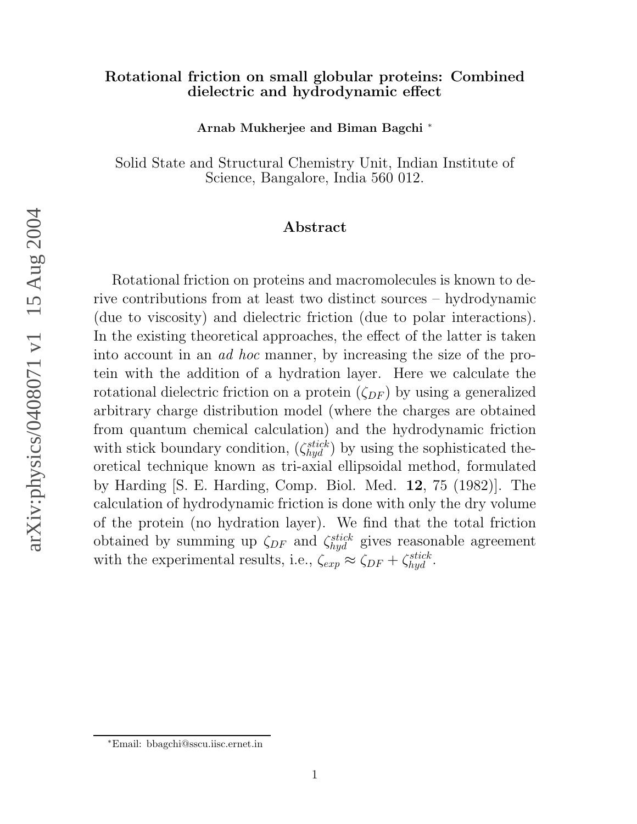#### Rotational friction on small globular proteins: Combined dielectric and hydrodynamic effect

Arnab Mukherjee and Biman Bagchi ∗

Solid State and Structural Chemistry Unit, Indian Institute of Science, Bangalore, India 560 012.

#### Abstract

Rotational friction on proteins and macromolecules is known to derive contributions from at least two distinct sources – hydrodynamic (due to viscosity) and dielectric friction (due to polar interactions). In the existing theoretical approaches, the effect of the latter is taken into account in an ad hoc manner, by increasing the size of the protein with the addition of a hydration layer. Here we calculate the rotational dielectric friction on a protein  $(\zeta_{DF})$  by using a generalized arbitrary charge distribution model (where the charges are obtained from quantum chemical calculation) and the hydrodynamic friction with stick boundary condition,  $(\zeta_{hyd}^{stick})$  by using the sophisticated theoretical technique known as tri-axial ellipsoidal method, formulated by Harding [S. E. Harding, Comp. Biol. Med. 12, 75 (1982)]. The calculation of hydrodynamic friction is done with only the dry volume of the protein (no hydration layer). We find that the total friction obtained by summing up  $\zeta_{DF}$  and  $\zeta_{hyd}^{stick}$  gives reasonable agreement with the experimental results, i.e.,  $\zeta_{exp} \approx \zeta_{DF} + \zeta_{hyd}^{stick}$ .

arXiv:physics/0408071 v1 15 Aug 2004 arXiv:physics/0408071 v1 15 Aug 2004

<sup>∗</sup>Email: bbagchi@sscu.iisc.ernet.in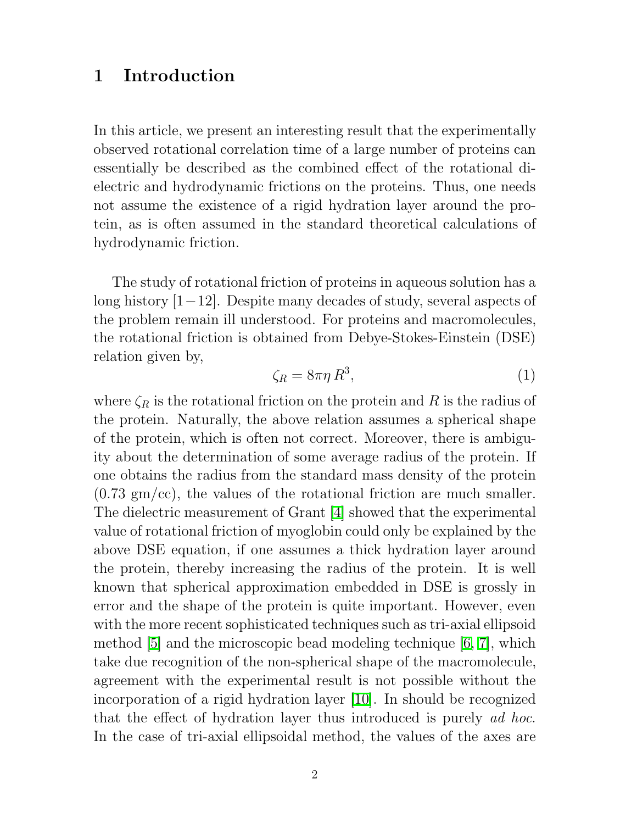## 1 Introduction

In this article, we present an interesting result that the experimentally observed rotational correlation time of a large number of proteins can essentially be described as the combined effect of the rotational dielectric and hydrodynamic frictions on the proteins. Thus, one needs not assume the existence of a rigid hydration layer around the protein, as is often assumed in the standard theoretical calculations of hydrodynamic friction.

The study of rotational friction of proteins in aqueous solution has a long history [1−12]. Despite many decades of study, several aspects of the problem remain ill understood. For proteins and macromolecules, the rotational friction is obtained from Debye-Stokes-Einstein (DSE) relation given by,

$$
\zeta_R = 8\pi\eta R^3,\tag{1}
$$

where  $\zeta_R$  is the rotational friction on the protein and R is the radius of the protein. Naturally, the above relation assumes a spherical shape of the protein, which is often not correct. Moreover, there is ambiguity about the determination of some average radius of the protein. If one obtains the radius from the standard mass density of the protein  $(0.73 \text{ gm/cc})$ , the values of the rotational friction are much smaller. The dielectric measurement of Grant [\[4\]](#page-16-0) showed that the experimental value of rotational friction of myoglobin could only be explained by the above DSE equation, if one assumes a thick hydration layer around the protein, thereby increasing the radius of the protein. It is well known that spherical approximation embedded in DSE is grossly in error and the shape of the protein is quite important. However, even with the more recent sophisticated techniques such as tri-axial ellipsoid method [\[5\]](#page-16-1) and the microscopic bead modeling technique [\[6,](#page-16-2) [7\]](#page-16-3), which take due recognition of the non-spherical shape of the macromolecule, agreement with the experimental result is not possible without the incorporation of a rigid hydration layer [\[10\]](#page-16-4). In should be recognized that the effect of hydration layer thus introduced is purely ad hoc. In the case of tri-axial ellipsoidal method, the values of the axes are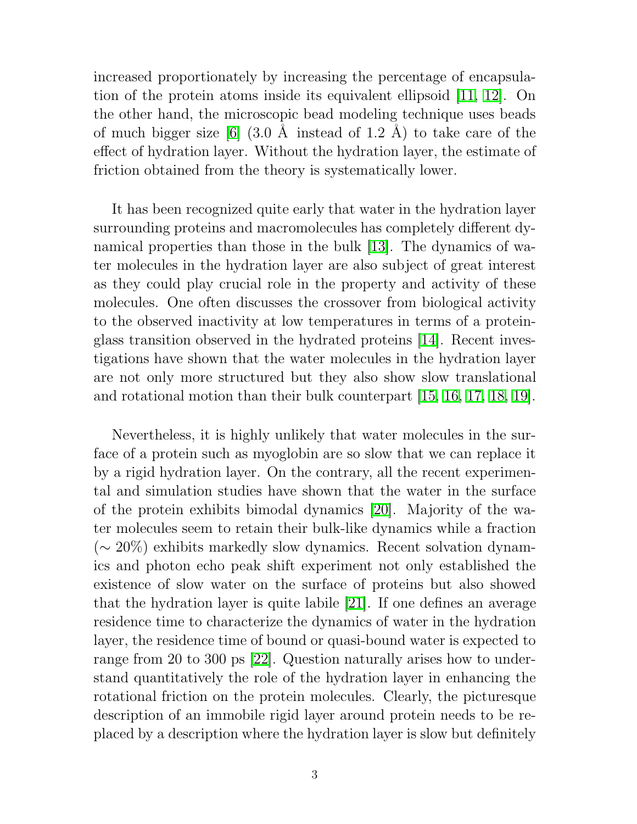increased proportionately by increasing the percentage of encapsulation of the protein atoms inside its equivalent ellipsoid [\[11,](#page-17-0) [12\]](#page-17-1). On the other hand, the microscopic bead modeling technique uses beads of much bigger size [\[6\]](#page-16-2)  $(3.0 \text{ Å}$  instead of 1.2 Å) to take care of the effect of hydration layer. Without the hydration layer, the estimate of friction obtained from the theory is systematically lower.

It has been recognized quite early that water in the hydration layer surrounding proteins and macromolecules has completely different dynamical properties than those in the bulk [\[13\]](#page-17-2). The dynamics of water molecules in the hydration layer are also subject of great interest as they could play crucial role in the property and activity of these molecules. One often discusses the crossover from biological activity to the observed inactivity at low temperatures in terms of a proteinglass transition observed in the hydrated proteins [\[14\]](#page-17-3). Recent investigations have shown that the water molecules in the hydration layer are not only more structured but they also show slow translational and rotational motion than their bulk counterpart [\[15,](#page-17-4) [16,](#page-17-5) [17,](#page-17-6) [18,](#page-17-7) [19\]](#page-17-8).

Nevertheless, it is highly unlikely that water molecules in the surface of a protein such as myoglobin are so slow that we can replace it by a rigid hydration layer. On the contrary, all the recent experimental and simulation studies have shown that the water in the surface of the protein exhibits bimodal dynamics [\[20\]](#page-17-9). Majority of the water molecules seem to retain their bulk-like dynamics while a fraction (∼ 20%) exhibits markedly slow dynamics. Recent solvation dynamics and photon echo peak shift experiment not only established the existence of slow water on the surface of proteins but also showed that the hydration layer is quite labile [\[21\]](#page-17-10). If one defines an average residence time to characterize the dynamics of water in the hydration layer, the residence time of bound or quasi-bound water is expected to range from 20 to 300 ps [\[22\]](#page-17-11). Question naturally arises how to understand quantitatively the role of the hydration layer in enhancing the rotational friction on the protein molecules. Clearly, the picturesque description of an immobile rigid layer around protein needs to be replaced by a description where the hydration layer is slow but definitely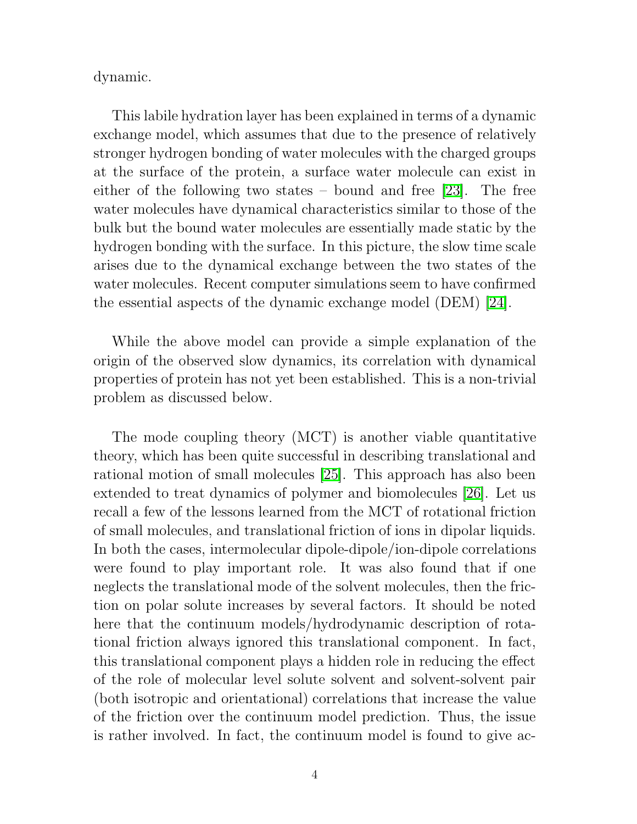dynamic.

This labile hydration layer has been explained in terms of a dynamic exchange model, which assumes that due to the presence of relatively stronger hydrogen bonding of water molecules with the charged groups at the surface of the protein, a surface water molecule can exist in either of the following two states – bound and free [\[23\]](#page-18-0). The free water molecules have dynamical characteristics similar to those of the bulk but the bound water molecules are essentially made static by the hydrogen bonding with the surface. In this picture, the slow time scale arises due to the dynamical exchange between the two states of the water molecules. Recent computer simulations seem to have confirmed the essential aspects of the dynamic exchange model (DEM) [\[24\]](#page-18-1).

While the above model can provide a simple explanation of the origin of the observed slow dynamics, its correlation with dynamical properties of protein has not yet been established. This is a non-trivial problem as discussed below.

The mode coupling theory (MCT) is another viable quantitative theory, which has been quite successful in describing translational and rational motion of small molecules [\[25\]](#page-18-2). This approach has also been extended to treat dynamics of polymer and biomolecules [\[26\]](#page-18-3). Let us recall a few of the lessons learned from the MCT of rotational friction of small molecules, and translational friction of ions in dipolar liquids. In both the cases, intermolecular dipole-dipole/ion-dipole correlations were found to play important role. It was also found that if one neglects the translational mode of the solvent molecules, then the friction on polar solute increases by several factors. It should be noted here that the continuum models/hydrodynamic description of rotational friction always ignored this translational component. In fact, this translational component plays a hidden role in reducing the effect of the role of molecular level solute solvent and solvent-solvent pair (both isotropic and orientational) correlations that increase the value of the friction over the continuum model prediction. Thus, the issue is rather involved. In fact, the continuum model is found to give ac-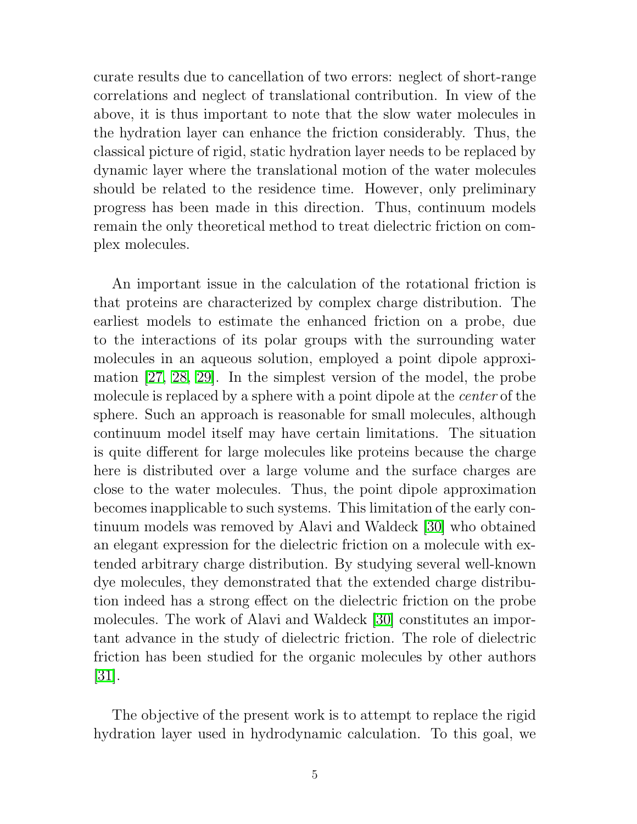curate results due to cancellation of two errors: neglect of short-range correlations and neglect of translational contribution. In view of the above, it is thus important to note that the slow water molecules in the hydration layer can enhance the friction considerably. Thus, the classical picture of rigid, static hydration layer needs to be replaced by dynamic layer where the translational motion of the water molecules should be related to the residence time. However, only preliminary progress has been made in this direction. Thus, continuum models remain the only theoretical method to treat dielectric friction on complex molecules.

An important issue in the calculation of the rotational friction is that proteins are characterized by complex charge distribution. The earliest models to estimate the enhanced friction on a probe, due to the interactions of its polar groups with the surrounding water molecules in an aqueous solution, employed a point dipole approximation [\[27,](#page-18-4) [28,](#page-18-5) [29\]](#page-18-6). In the simplest version of the model, the probe molecule is replaced by a sphere with a point dipole at the *center* of the sphere. Such an approach is reasonable for small molecules, although continuum model itself may have certain limitations. The situation is quite different for large molecules like proteins because the charge here is distributed over a large volume and the surface charges are close to the water molecules. Thus, the point dipole approximation becomes inapplicable to such systems. This limitation of the early continuum models was removed by Alavi and Waldeck [\[30\]](#page-18-7) who obtained an elegant expression for the dielectric friction on a molecule with extended arbitrary charge distribution. By studying several well-known dye molecules, they demonstrated that the extended charge distribution indeed has a strong effect on the dielectric friction on the probe molecules. The work of Alavi and Waldeck [\[30\]](#page-18-7) constitutes an important advance in the study of dielectric friction. The role of dielectric friction has been studied for the organic molecules by other authors [\[31\]](#page-18-8).

The objective of the present work is to attempt to replace the rigid hydration layer used in hydrodynamic calculation. To this goal, we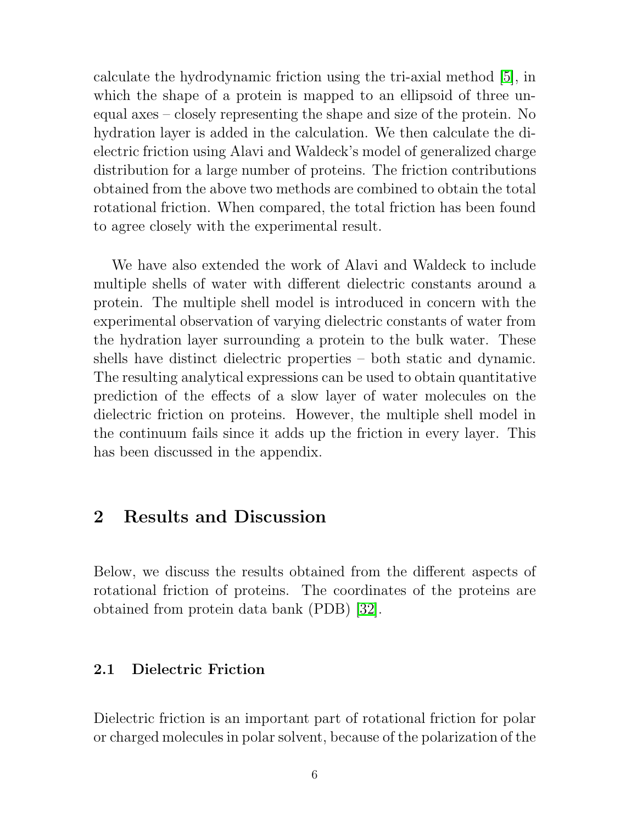calculate the hydrodynamic friction using the tri-axial method [\[5\]](#page-16-1), in which the shape of a protein is mapped to an ellipsoid of three unequal axes – closely representing the shape and size of the protein. No hydration layer is added in the calculation. We then calculate the dielectric friction using Alavi and Waldeck's model of generalized charge distribution for a large number of proteins. The friction contributions obtained from the above two methods are combined to obtain the total rotational friction. When compared, the total friction has been found to agree closely with the experimental result.

We have also extended the work of Alavi and Waldeck to include multiple shells of water with different dielectric constants around a protein. The multiple shell model is introduced in concern with the experimental observation of varying dielectric constants of water from the hydration layer surrounding a protein to the bulk water. These shells have distinct dielectric properties – both static and dynamic. The resulting analytical expressions can be used to obtain quantitative prediction of the effects of a slow layer of water molecules on the dielectric friction on proteins. However, the multiple shell model in the continuum fails since it adds up the friction in every layer. This has been discussed in the appendix.

## 2 Results and Discussion

Below, we discuss the results obtained from the different aspects of rotational friction of proteins. The coordinates of the proteins are obtained from protein data bank (PDB) [\[32\]](#page-18-9).

#### 2.1 Dielectric Friction

Dielectric friction is an important part of rotational friction for polar or charged molecules in polar solvent, because of the polarization of the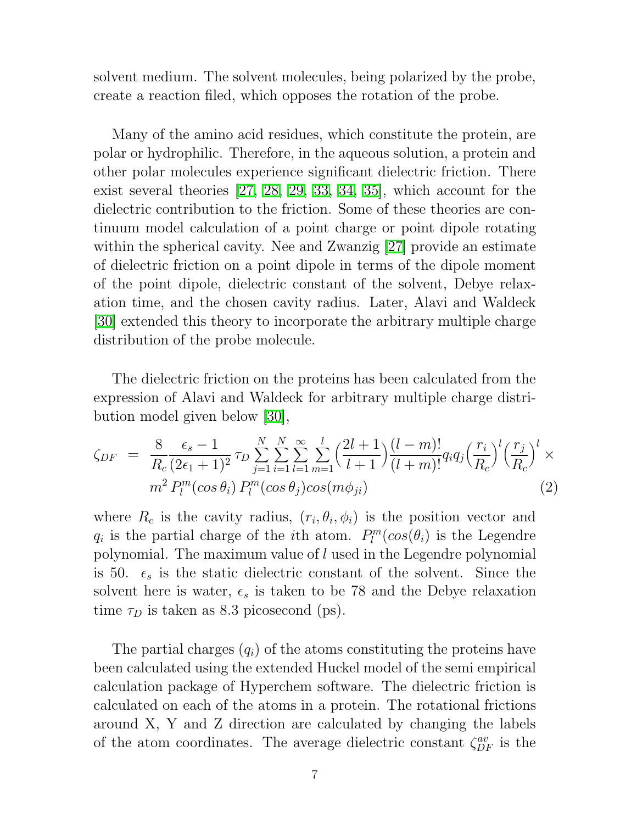solvent medium. The solvent molecules, being polarized by the probe, create a reaction filed, which opposes the rotation of the probe.

Many of the amino acid residues, which constitute the protein, are polar or hydrophilic. Therefore, in the aqueous solution, a protein and other polar molecules experience significant dielectric friction. There exist several theories [\[27,](#page-18-4) [28,](#page-18-5) [29,](#page-18-6) [33,](#page-18-10) [34,](#page-18-11) [35\]](#page-18-12), which account for the dielectric contribution to the friction. Some of these theories are continuum model calculation of a point charge or point dipole rotating within the spherical cavity. Nee and Zwanzig [\[27\]](#page-18-4) provide an estimate of dielectric friction on a point dipole in terms of the dipole moment of the point dipole, dielectric constant of the solvent, Debye relaxation time, and the chosen cavity radius. Later, Alavi and Waldeck [\[30\]](#page-18-7) extended this theory to incorporate the arbitrary multiple charge distribution of the probe molecule.

The dielectric friction on the proteins has been calculated from the expression of Alavi and Waldeck for arbitrary multiple charge distribution model given below [\[30\]](#page-18-7),

$$
\zeta_{DF} = \frac{8}{R_c} \frac{\epsilon_s - 1}{(2\epsilon_1 + 1)^2} \tau_D \sum_{j=1}^N \sum_{i=1}^N \sum_{l=1}^{\infty} \sum_{m=1}^l \left(\frac{2l+1}{l+1}\right) \frac{(l-m)!}{(l+m)!} q_i q_j \left(\frac{r_i}{R_c}\right)^l \left(\frac{r_j}{R_c}\right)^l \times m^2 P_l^m(\cos\theta_i) P_l^m(\cos\theta_j) \cos(m\phi_{ji}) \tag{2}
$$

where  $R_c$  is the cavity radius,  $(r_i, \theta_i, \phi_i)$  is the position vector and  $q_i$  is the partial charge of the *i*th atom.  $P_l^m$  $l_l^{m}(cos(\theta_i))$  is the Legendre polynomial. The maximum value of l used in the Legendre polynomial is 50.  $\epsilon_s$  is the static dielectric constant of the solvent. Since the solvent here is water,  $\epsilon_s$  is taken to be 78 and the Debye relaxation time  $\tau_D$  is taken as 8.3 picosecond (ps).

The partial charges  $(q_i)$  of the atoms constituting the proteins have been calculated using the extended Huckel model of the semi empirical calculation package of Hyperchem software. The dielectric friction is calculated on each of the atoms in a protein. The rotational frictions around X, Y and Z direction are calculated by changing the labels of the atom coordinates. The average dielectric constant  $\zeta_{DF}^{av}$  is the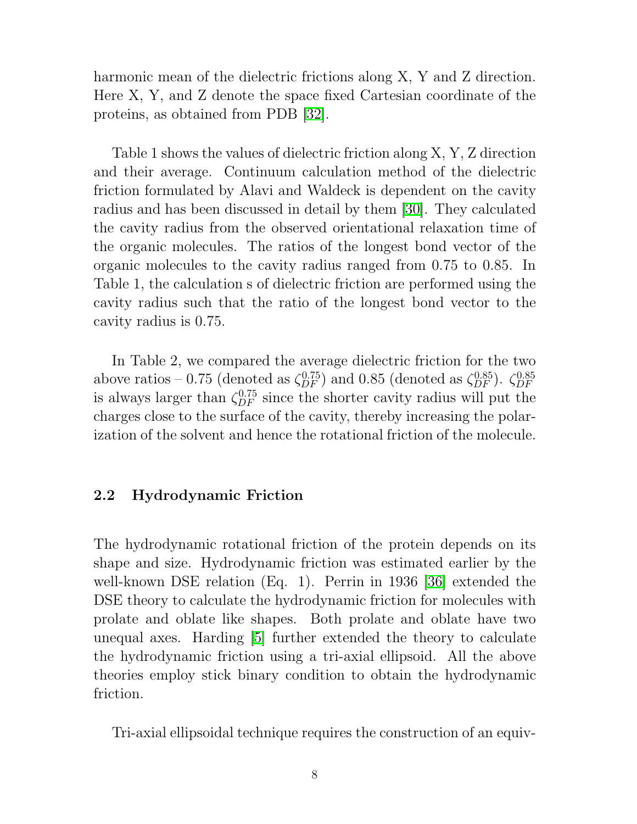harmonic mean of the dielectric frictions along X, Y and Z direction. Here X, Y, and Z denote the space fixed Cartesian coordinate of the proteins, as obtained from PDB [\[32\]](#page-18-9).

Table 1 shows the values of dielectric friction along X, Y, Z direction and their average. Continuum calculation method of the dielectric friction formulated by Alavi and Waldeck is dependent on the cavity radius and has been discussed in detail by them [\[30\]](#page-18-7). They calculated the cavity radius from the observed orientational relaxation time of the organic molecules. The ratios of the longest bond vector of the organic molecules to the cavity radius ranged from 0.75 to 0.85. In Table 1, the calculation s of dielectric friction are performed using the cavity radius such that the ratio of the longest bond vector to the cavity radius is 0.75.

In Table 2, we compared the average dielectric friction for the two above ratios – 0.75 (denoted as  $\zeta_{DF}^{0.75}$ ) and 0.85 (denoted as  $\zeta_{DF}^{0.85}$ ).  $\zeta_{DF}^{0.85}$ DF is always larger than  $\zeta_{DF}^{0.75}$  since the shorter cavity radius will put the charges close to the surface of the cavity, thereby increasing the polarization of the solvent and hence the rotational friction of the molecule.

#### 2.2 Hydrodynamic Friction

The hydrodynamic rotational friction of the protein depends on its shape and size. Hydrodynamic friction was estimated earlier by the well-known DSE relation (Eq. 1). Perrin in 1936 [\[36\]](#page-18-13) extended the DSE theory to calculate the hydrodynamic friction for molecules with prolate and oblate like shapes. Both prolate and oblate have two unequal axes. Harding [\[5\]](#page-16-1) further extended the theory to calculate the hydrodynamic friction using a tri-axial ellipsoid. All the above theories employ stick binary condition to obtain the hydrodynamic friction.

Tri-axial ellipsoidal technique requires the construction of an equiv-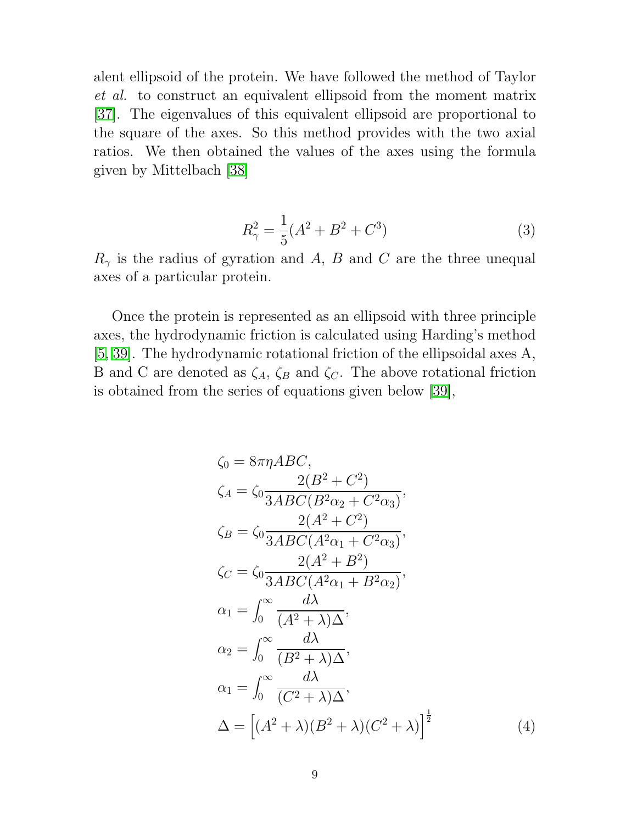alent ellipsoid of the protein. We have followed the method of Taylor et al. to construct an equivalent ellipsoid from the moment matrix [\[37\]](#page-19-0). The eigenvalues of this equivalent ellipsoid are proportional to the square of the axes. So this method provides with the two axial ratios. We then obtained the values of the axes using the formula given by Mittelbach [\[38\]](#page-19-1)

$$
R_{\gamma}^{2} = \frac{1}{5}(A^{2} + B^{2} + C^{3})
$$
 (3)

 $R_{\gamma}$  is the radius of gyration and A, B and C are the three unequal axes of a particular protein.

Once the protein is represented as an ellipsoid with three principle axes, the hydrodynamic friction is calculated using Harding's method [\[5,](#page-16-1) [39\]](#page-19-2). The hydrodynamic rotational friction of the ellipsoidal axes A, B and C are denoted as  $\zeta_A$ ,  $\zeta_B$  and  $\zeta_C$ . The above rotational friction is obtained from the series of equations given below [\[39\]](#page-19-2),

$$
\zeta_0 = 8\pi \eta ABC, \n\zeta_A = \zeta_0 \frac{2(B^2 + C^2)}{3ABC(B^2\alpha_2 + C^2\alpha_3)}, \n\zeta_B = \zeta_0 \frac{2(A^2 + C^2)}{3ABC(A^2\alpha_1 + C^2\alpha_3)}, \n\zeta_C = \zeta_0 \frac{2(A^2 + B^2)}{3ABC(A^2\alpha_1 + B^2\alpha_2)}, \n\alpha_1 = \int_0^\infty \frac{d\lambda}{(A^2 + \lambda)\Delta}, \n\alpha_2 = \int_0^\infty \frac{d\lambda}{(B^2 + \lambda)\Delta}, \n\alpha_1 = \int_0^\infty \frac{d\lambda}{(C^2 + \lambda)\Delta}, \n\Delta = \left[ (A^2 + \lambda)(B^2 + \lambda)(C^2 + \lambda) \right]^{\frac{1}{2}} \tag{4}
$$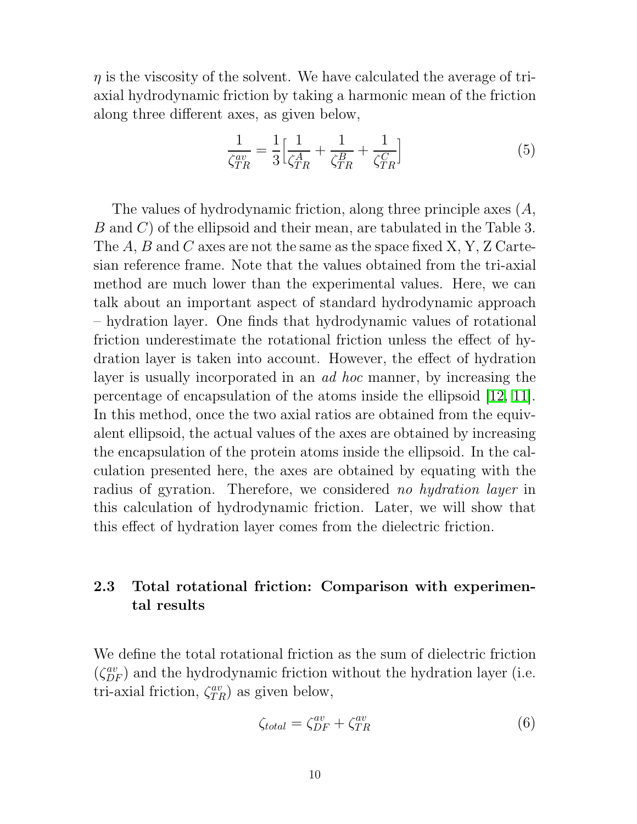$\eta$  is the viscosity of the solvent. We have calculated the average of triaxial hydrodynamic friction by taking a harmonic mean of the friction along three different axes, as given below,

$$
\frac{1}{\zeta_{TR}^{av}} = \frac{1}{3} \Big[ \frac{1}{\zeta_{TR}^A} + \frac{1}{\zeta_{TR}^B} + \frac{1}{\zeta_{TR}^C} \Big] \tag{5}
$$

The values of hydrodynamic friction, along three principle axes (A, B and C) of the ellipsoid and their mean, are tabulated in the Table 3. The  $A, B$  and  $C$  axes are not the same as the space fixed  $X, Y, Z$  Cartesian reference frame. Note that the values obtained from the tri-axial method are much lower than the experimental values. Here, we can talk about an important aspect of standard hydrodynamic approach – hydration layer. One finds that hydrodynamic values of rotational friction underestimate the rotational friction unless the effect of hydration layer is taken into account. However, the effect of hydration layer is usually incorporated in an *ad hoc* manner, by increasing the percentage of encapsulation of the atoms inside the ellipsoid [\[12,](#page-17-1) [11\]](#page-17-0). In this method, once the two axial ratios are obtained from the equivalent ellipsoid, the actual values of the axes are obtained by increasing the encapsulation of the protein atoms inside the ellipsoid. In the calculation presented here, the axes are obtained by equating with the radius of gyration. Therefore, we considered no hydration layer in this calculation of hydrodynamic friction. Later, we will show that this effect of hydration layer comes from the dielectric friction.

#### 2.3 Total rotational friction: Comparison with experimental results

We define the total rotational friction as the sum of dielectric friction  $(\zeta_{DF}^{av})$  and the hydrodynamic friction without the hydration layer (i.e. tri-axial friction,  $\zeta_{TR}^{av}$  as given below,

$$
\zeta_{total} = \zeta_{DF}^{av} + \zeta_{TR}^{av} \tag{6}
$$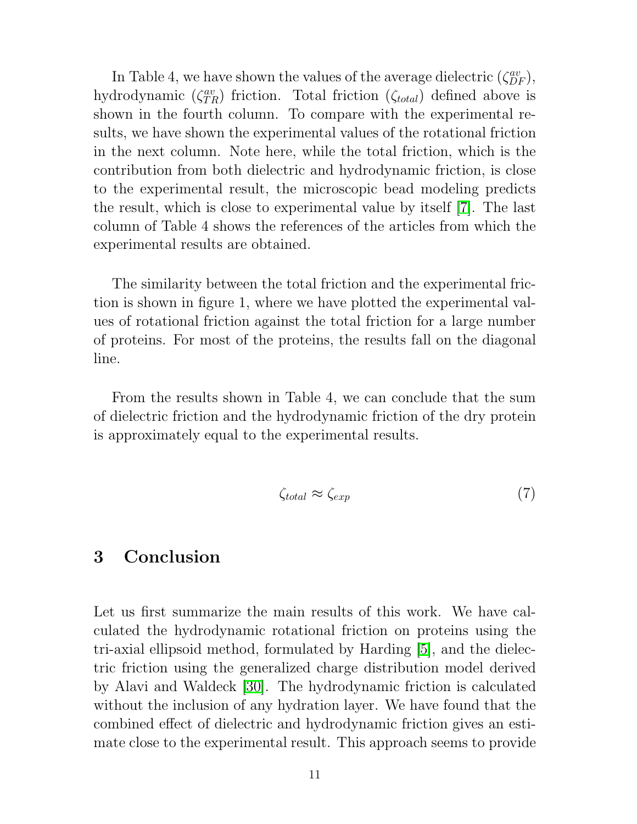In Table 4, we have shown the values of the average dielectric  $(\zeta_{DF}^{av})$ , hydrodynamic  $(\zeta_{TR}^{av})$  friction. Total friction  $(\zeta_{total})$  defined above is shown in the fourth column. To compare with the experimental results, we have shown the experimental values of the rotational friction in the next column. Note here, while the total friction, which is the contribution from both dielectric and hydrodynamic friction, is close to the experimental result, the microscopic bead modeling predicts the result, which is close to experimental value by itself [\[7\]](#page-16-3). The last column of Table 4 shows the references of the articles from which the experimental results are obtained.

The similarity between the total friction and the experimental friction is shown in figure 1, where we have plotted the experimental values of rotational friction against the total friction for a large number of proteins. For most of the proteins, the results fall on the diagonal line.

From the results shown in Table 4, we can conclude that the sum of dielectric friction and the hydrodynamic friction of the dry protein is approximately equal to the experimental results.

$$
\zeta_{total} \approx \zeta_{exp} \tag{7}
$$

### 3 Conclusion

Let us first summarize the main results of this work. We have calculated the hydrodynamic rotational friction on proteins using the tri-axial ellipsoid method, formulated by Harding [\[5\]](#page-16-1), and the dielectric friction using the generalized charge distribution model derived by Alavi and Waldeck [\[30\]](#page-18-7). The hydrodynamic friction is calculated without the inclusion of any hydration layer. We have found that the combined effect of dielectric and hydrodynamic friction gives an estimate close to the experimental result. This approach seems to provide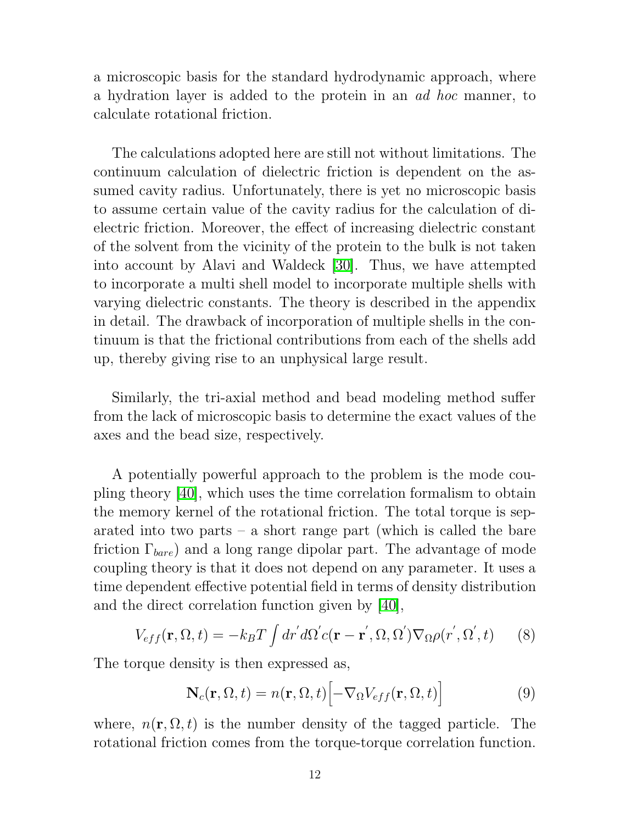a microscopic basis for the standard hydrodynamic approach, where a hydration layer is added to the protein in an ad hoc manner, to calculate rotational friction.

The calculations adopted here are still not without limitations. The continuum calculation of dielectric friction is dependent on the assumed cavity radius. Unfortunately, there is yet no microscopic basis to assume certain value of the cavity radius for the calculation of dielectric friction. Moreover, the effect of increasing dielectric constant of the solvent from the vicinity of the protein to the bulk is not taken into account by Alavi and Waldeck [\[30\]](#page-18-7). Thus, we have attempted to incorporate a multi shell model to incorporate multiple shells with varying dielectric constants. The theory is described in the appendix in detail. The drawback of incorporation of multiple shells in the continuum is that the frictional contributions from each of the shells add up, thereby giving rise to an unphysical large result.

Similarly, the tri-axial method and bead modeling method suffer from the lack of microscopic basis to determine the exact values of the axes and the bead size, respectively.

A potentially powerful approach to the problem is the mode coupling theory [\[40\]](#page-19-3), which uses the time correlation formalism to obtain the memory kernel of the rotational friction. The total torque is separated into two parts – a short range part (which is called the bare friction  $\Gamma_{bare}$ ) and a long range dipolar part. The advantage of mode coupling theory is that it does not depend on any parameter. It uses a time dependent effective potential field in terms of density distribution and the direct correlation function given by [\[40\]](#page-19-3),

$$
V_{eff}(\mathbf{r}, \Omega, t) = -k_B T \int dr' d\Omega' c(\mathbf{r} - \mathbf{r}', \Omega, \Omega') \nabla_{\Omega} \rho(r', \Omega', t)
$$
 (8)

The torque density is then expressed as,

$$
\mathbf{N}_c(\mathbf{r}, \Omega, t) = n(\mathbf{r}, \Omega, t) \left[ -\nabla_{\Omega} V_{eff}(\mathbf{r}, \Omega, t) \right]
$$
(9)

where,  $n(\mathbf{r}, \Omega, t)$  is the number density of the tagged particle. The rotational friction comes from the torque-torque correlation function.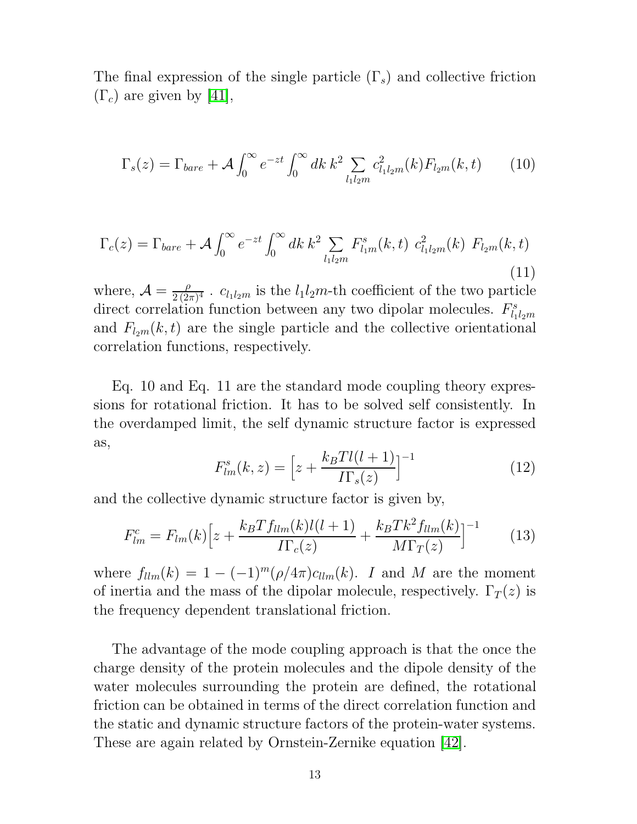The final expression of the single particle  $(\Gamma_s)$  and collective friction  $(\Gamma_c)$  are given by [\[41\]](#page-19-4),

$$
\Gamma_s(z) = \Gamma_{bare} + \mathcal{A} \int_0^\infty e^{-zt} \int_0^\infty dk \, k^2 \sum_{l_1 l_2 m} c_{l_1 l_2 m}^2(k) F_{l_2 m}(k, t) \qquad (10)
$$

$$
\Gamma_c(z) = \Gamma_{bare} + \mathcal{A} \int_0^\infty e^{-zt} \int_0^\infty dk \, k^2 \sum_{l_1 l_2 m} F_{l_1 m}^s(k, t) \, c_{l_1 l_2 m}^2(k) \, F_{l_2 m}(k, t) \tag{11}
$$

where,  $\mathcal{A} = \frac{\rho}{2\sqrt{2}}$  $\frac{\rho}{2(2\pi)^4}$  .  $c_{l_1l_2m}$  is the  $l_1l_2m$ -th coefficient of the two particle direct correlation function between any two dipolar molecules.  $F_{l_1}^s$  $l_1l_2m$ and  $F_{l_2m}(k,t)$  are the single particle and the collective orientational correlation functions, respectively.

Eq. 10 and Eq. 11 are the standard mode coupling theory expressions for rotational friction. It has to be solved self consistently. In the overdamped limit, the self dynamic structure factor is expressed as,

$$
F_{lm}^s(k,z) = \left[z + \frac{k_B T l(l+1)}{\prod_s(z)}\right]^{-1} \tag{12}
$$

and the collective dynamic structure factor is given by,

$$
F_{lm}^c = F_{lm}(k) \Big[ z + \frac{k_B T f_{llm}(k)l(l+1)}{I \Gamma_c(z)} + \frac{k_B T k^2 f_{llm}(k)}{M \Gamma_T(z)} \Big]^{-1} \tag{13}
$$

where  $f_{llm}(k) = 1 - (-1)^m (\rho/4\pi) c_{llm}(k)$ . I and M are the moment of inertia and the mass of the dipolar molecule, respectively.  $\Gamma_T(z)$  is the frequency dependent translational friction.

The advantage of the mode coupling approach is that the once the charge density of the protein molecules and the dipole density of the water molecules surrounding the protein are defined, the rotational friction can be obtained in terms of the direct correlation function and the static and dynamic structure factors of the protein-water systems. These are again related by Ornstein-Zernike equation [\[42\]](#page-19-5).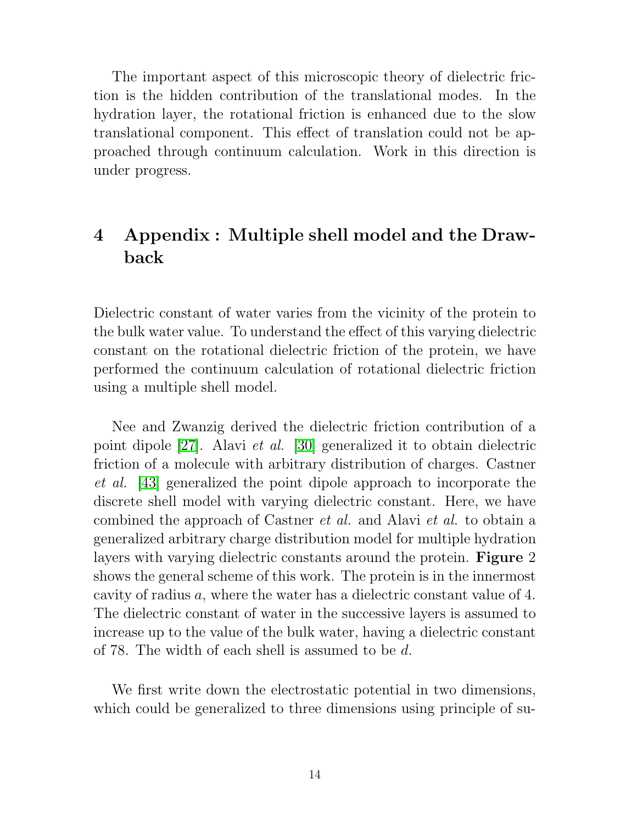The important aspect of this microscopic theory of dielectric friction is the hidden contribution of the translational modes. In the hydration layer, the rotational friction is enhanced due to the slow translational component. This effect of translation could not be approached through continuum calculation. Work in this direction is under progress.

# 4 Appendix : Multiple shell model and the Drawback

Dielectric constant of water varies from the vicinity of the protein to the bulk water value. To understand the effect of this varying dielectric constant on the rotational dielectric friction of the protein, we have performed the continuum calculation of rotational dielectric friction using a multiple shell model.

Nee and Zwanzig derived the dielectric friction contribution of a point dipole [\[27\]](#page-18-4). Alavi et al. [\[30\]](#page-18-7) generalized it to obtain dielectric friction of a molecule with arbitrary distribution of charges. Castner et al. [\[43\]](#page-19-6) generalized the point dipole approach to incorporate the discrete shell model with varying dielectric constant. Here, we have combined the approach of Castner et al. and Alavi et al. to obtain a generalized arbitrary charge distribution model for multiple hydration layers with varying dielectric constants around the protein. **Figure** 2 shows the general scheme of this work. The protein is in the innermost cavity of radius a, where the water has a dielectric constant value of 4. The dielectric constant of water in the successive layers is assumed to increase up to the value of the bulk water, having a dielectric constant of 78. The width of each shell is assumed to be d.

We first write down the electrostatic potential in two dimensions, which could be generalized to three dimensions using principle of su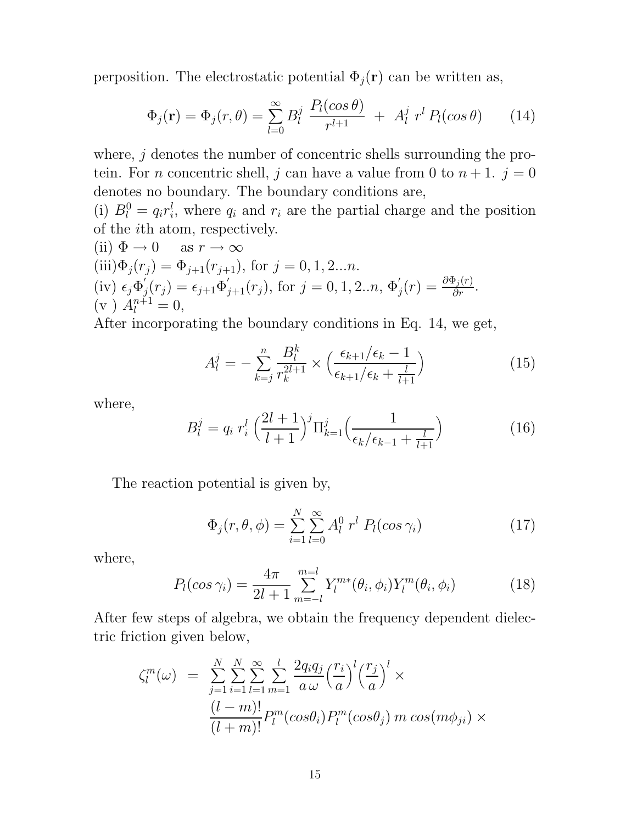perposition. The electrostatic potential  $\Phi_j(\mathbf{r})$  can be written as,

$$
\Phi_j(\mathbf{r}) = \Phi_j(r,\theta) = \sum_{l=0}^{\infty} B_l^j \frac{P_l(\cos\theta)}{r^{l+1}} + A_l^j r^l P_l(\cos\theta) \qquad (14)
$$

where,  $j$  denotes the number of concentric shells surrounding the protein. For *n* concentric shell, *j* can have a value from 0 to  $n + 1$ .  $j = 0$ denotes no boundary. The boundary conditions are,

(i)  $B_l^0 = q_i r_i^l$  $i<sub>i</sub>$ , where  $q<sub>i</sub>$  and  $r<sub>i</sub>$  are the partial charge and the position of the ith atom, respectively.

(ii) 
$$
\Phi \to 0
$$
 as  $r \to \infty$   
\n(iii)  $\Phi_j(r_j) = \Phi_{j+1}(r_{j+1})$ , for  $j = 0, 1, 2...n$ .  
\n(iv)  $\epsilon_j \Phi'_j(r_j) = \epsilon_{j+1} \Phi'_{j+1}(r_j)$ , for  $j = 0, 1, 2...n$ ,  $\Phi'_j(r) = \frac{\partial \Phi_j(r)}{\partial r}$ .  
\n(v)  $A_l^{n+1} = 0$ ,

After incorporating the boundary conditions in Eq. 14, we get,

$$
A_l^j = -\sum_{k=j}^n \frac{B_l^k}{r_k^{2l+1}} \times \left(\frac{\epsilon_{k+1}/\epsilon_k - 1}{\epsilon_{k+1}/\epsilon_k + \frac{l}{l+1}}\right) \tag{15}
$$

where,

$$
B_l^j = q_i r_i^l \left(\frac{2l+1}{l+1}\right)^j \Pi_{k=1}^j \left(\frac{1}{\epsilon_k/\epsilon_{k-1} + \frac{l}{l+1}}\right)
$$
 (16)

The reaction potential is given by,

$$
\Phi_j(r,\theta,\phi) = \sum_{i=1}^N \sum_{l=0}^\infty A_l^0 \; r^l \; P_l(\cos \gamma_i) \tag{17}
$$

where,

$$
P_l(\cos \gamma_i) = \frac{4\pi}{2l+1} \sum_{m=-l}^{m=l} Y_l^{m*}(\theta_i, \phi_i) Y_l^m(\theta_i, \phi_i)
$$
(18)

After few steps of algebra, we obtain the frequency dependent dielectric friction given below,

$$
\zeta_l^m(\omega) = \sum_{j=1}^N \sum_{i=1}^N \sum_{l=1}^\infty \sum_{m=1}^l \frac{2q_i q_j}{a \omega} \left(\frac{r_i}{a}\right)^l \left(\frac{r_j}{a}\right)^l \times
$$

$$
\frac{(l-m)!}{(l+m)!} P_l^m(\cos\theta_i) P_l^m(\cos\theta_j) m \cos(m\phi_{ji}) \times
$$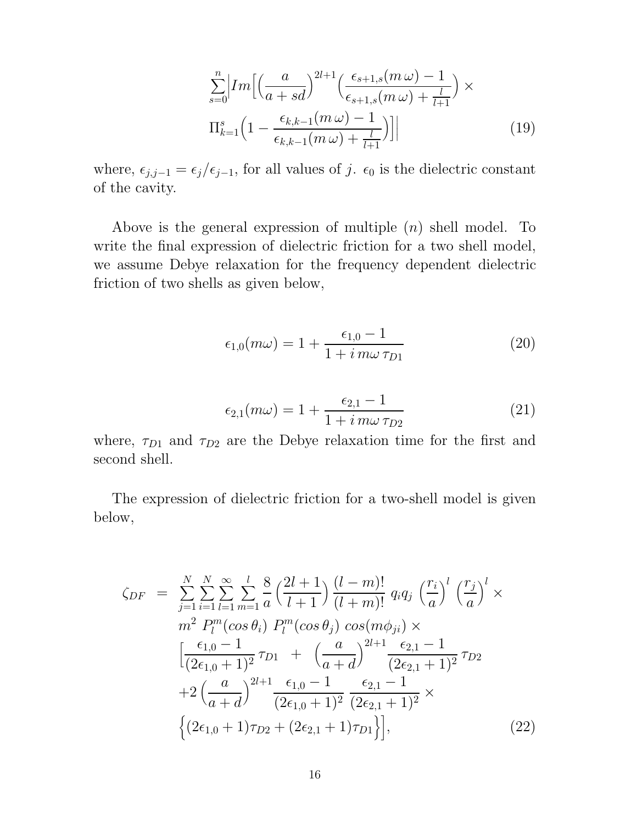$$
\sum_{s=0}^{n} \left| Im \left[ \left( \frac{a}{a+sd} \right)^{2l+1} \left( \frac{\epsilon_{s+1,s}(m\,\omega) - 1}{\epsilon_{s+1,s}(m\,\omega) + \frac{l}{l+1}} \right) \times \Pi_{k=1}^{s} \left( 1 - \frac{\epsilon_{k,k-1}(m\,\omega) - 1}{\epsilon_{k,k-1}(m\,\omega) + \frac{l}{l+1}} \right) \right] \right| \tag{19}
$$

where,  $\epsilon_{j,j-1} = \epsilon_j/\epsilon_{j-1}$ , for all values of j.  $\epsilon_0$  is the dielectric constant of the cavity.

Above is the general expression of multiple  $(n)$  shell model. To write the final expression of dielectric friction for a two shell model, we assume Debye relaxation for the frequency dependent dielectric friction of two shells as given below,

$$
\epsilon_{1,0}(m\omega) = 1 + \frac{\epsilon_{1,0} - 1}{1 + i \, m\omega \, \tau_{D1}} \tag{20}
$$

$$
\epsilon_{2,1}(m\omega) = 1 + \frac{\epsilon_{2,1} - 1}{1 + i \, m\omega \, \tau_{D2}} \tag{21}
$$

where,  $\tau_{D1}$  and  $\tau_{D2}$  are the Debye relaxation time for the first and second shell.

The expression of dielectric friction for a two-shell model is given below,

$$
\zeta_{DF} = \sum_{j=1}^{N} \sum_{i=1}^{N} \sum_{l=1}^{\infty} \sum_{m=1}^{l} \frac{8}{a} \left( \frac{2l+1}{l+1} \right) \frac{(l-m)!}{(l+m)!} q_i q_j \left( \frac{r_i}{a} \right)^l \left( \frac{r_j}{a} \right)^l \times \nm^2 P_l^m(\cos \theta_i) P_l^m(\cos \theta_j) \cos(m\phi_{ji}) \times \n\left[ \frac{\epsilon_{1,0} - 1}{(2\epsilon_{1,0} + 1)^2} \tau_{D1} + \left( \frac{a}{a+d} \right)^{2l+1} \frac{\epsilon_{2,1} - 1}{(2\epsilon_{2,1} + 1)^2} \tau_{D2} \n+ 2 \left( \frac{a}{a+d} \right)^{2l+1} \frac{\epsilon_{1,0} - 1}{(2\epsilon_{1,0} + 1)^2} \frac{\epsilon_{2,1} - 1}{(2\epsilon_{2,1} + 1)^2} \times \n\left\{ (2\epsilon_{1,0} + 1) \tau_{D2} + (2\epsilon_{2,1} + 1) \tau_{D1} \right\} \right],
$$
\n(22)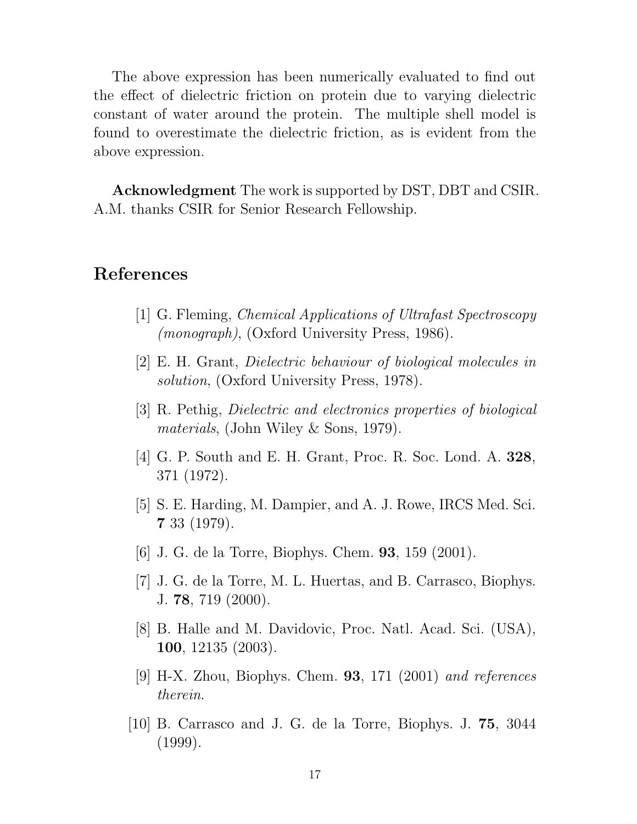The above expression has been numerically evaluated to find out the effect of dielectric friction on protein due to varying dielectric constant of water around the protein. The multiple shell model is found to overestimate the dielectric friction, as is evident from the above expression.

Acknowledgment The work is supported by DST, DBT and CSIR. A.M. thanks CSIR for Senior Research Fellowship.

### References

- [1] G. Fleming, Chemical Applications of Ultrafast Spectroscopy (monograph), (Oxford University Press, 1986).
- [2] E. H. Grant, Dielectric behaviour of biological molecules in solution, (Oxford University Press, 1978).
- <span id="page-16-0"></span>[3] R. Pethig, Dielectric and electronics properties of biological materials, (John Wiley & Sons, 1979).
- <span id="page-16-1"></span>[4] G. P. South and E. H. Grant, Proc. R. Soc. Lond. A. 328, 371 (1972).
- <span id="page-16-2"></span>[5] S. E. Harding, M. Dampier, and A. J. Rowe, IRCS Med. Sci. 7 33 (1979).
- <span id="page-16-3"></span>[6] J. G. de la Torre, Biophys. Chem. 93, 159 (2001).
- [7] J. G. de la Torre, M. L. Huertas, and B. Carrasco, Biophys. J. 78, 719 (2000).
- <span id="page-16-5"></span>[8] B. Halle and M. Davidovic, Proc. Natl. Acad. Sci. (USA), 100, 12135 (2003).
- [9] H-X. Zhou, Biophys. Chem. **93**, 171 (2001) and references therein.
- <span id="page-16-4"></span>[10] B. Carrasco and J. G. de la Torre, Biophys. J. 75, 3044 (1999).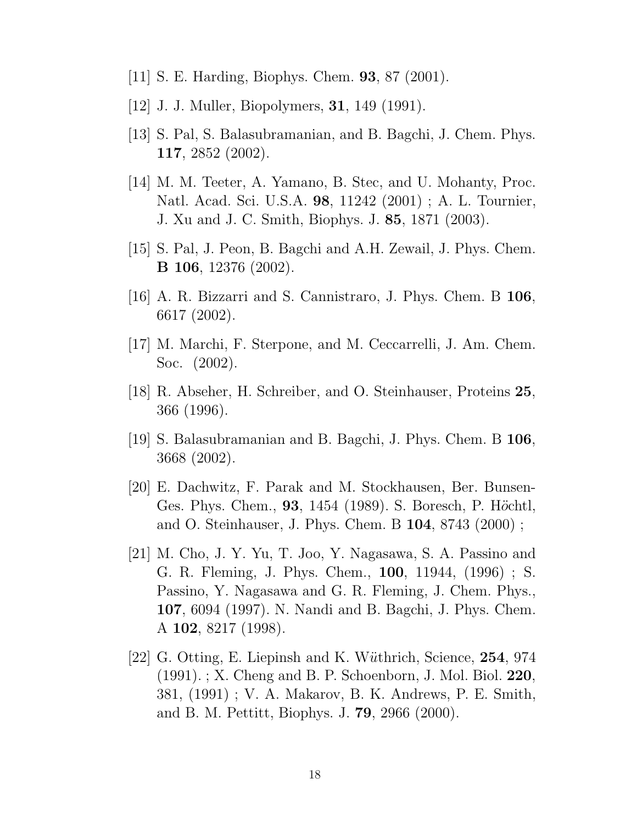- <span id="page-17-1"></span><span id="page-17-0"></span>[11] S. E. Harding, Biophys. Chem. 93, 87 (2001).
- <span id="page-17-2"></span>[12] J. J. Muller, Biopolymers, 31, 149 (1991).
- <span id="page-17-3"></span>[13] S. Pal, S. Balasubramanian, and B. Bagchi, J. Chem. Phys. 117, 2852 (2002).
- [14] M. M. Teeter, A. Yamano, B. Stec, and U. Mohanty, Proc. Natl. Acad. Sci. U.S.A. 98, 11242 (2001) ; A. L. Tournier, J. Xu and J. C. Smith, Biophys. J. 85, 1871 (2003).
- <span id="page-17-5"></span><span id="page-17-4"></span>[15] S. Pal, J. Peon, B. Bagchi and A.H. Zewail, J. Phys. Chem. B 106, 12376 (2002).
- <span id="page-17-6"></span>[16] A. R. Bizzarri and S. Cannistraro, J. Phys. Chem. B 106, 6617 (2002).
- <span id="page-17-7"></span>[17] M. Marchi, F. Sterpone, and M. Ceccarrelli, J. Am. Chem. Soc. (2002).
- <span id="page-17-8"></span>[18] R. Abseher, H. Schreiber, and O. Steinhauser, Proteins 25, 366 (1996).
- <span id="page-17-9"></span>[19] S. Balasubramanian and B. Bagchi, J. Phys. Chem. B 106, 3668 (2002).
- [20] E. Dachwitz, F. Parak and M. Stockhausen, Ber. Bunsen-Ges. Phys. Chem., 93, 1454 (1989). S. Boresch, P. Höchtl, and O. Steinhauser, J. Phys. Chem. B 104, 8743 (2000) ;
- <span id="page-17-10"></span>[21] M. Cho, J. Y. Yu, T. Joo, Y. Nagasawa, S. A. Passino and G. R. Fleming, J. Phys. Chem., 100, 11944, (1996) ; S. Passino, Y. Nagasawa and G. R. Fleming, J. Chem. Phys., 107, 6094 (1997). N. Nandi and B. Bagchi, J. Phys. Chem. A 102, 8217 (1998).
- <span id="page-17-11"></span>[22] G. Otting, E. Liepinsh and K. Wüthrich, Science, 254, 974 (1991). ; X. Cheng and B. P. Schoenborn, J. Mol. Biol. 220, 381, (1991) ; V. A. Makarov, B. K. Andrews, P. E. Smith, and B. M. Pettitt, Biophys. J. 79, 2966 (2000).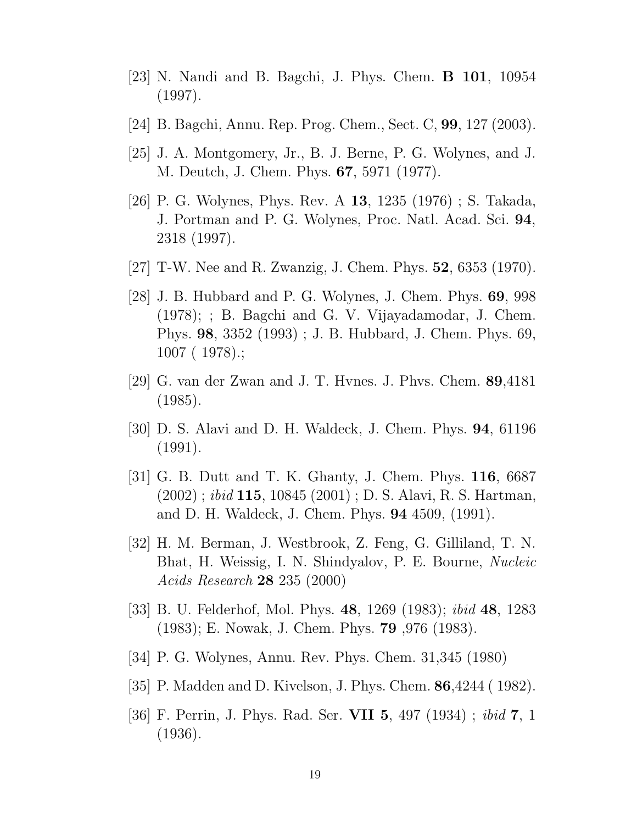- <span id="page-18-1"></span><span id="page-18-0"></span>[23] N. Nandi and B. Bagchi, J. Phys. Chem. B 101, 10954 (1997).
- <span id="page-18-2"></span>[24] B. Bagchi, Annu. Rep. Prog. Chem., Sect. C, 99, 127 (2003).
- <span id="page-18-3"></span>[25] J. A. Montgomery, Jr., B. J. Berne, P. G. Wolynes, and J. M. Deutch, J. Chem. Phys. 67, 5971 (1977).
- [26] P. G. Wolynes, Phys. Rev. A 13, 1235 (1976) ; S. Takada, J. Portman and P. G. Wolynes, Proc. Natl. Acad. Sci. 94, 2318 (1997).
- <span id="page-18-5"></span><span id="page-18-4"></span>[27] T-W. Nee and R. Zwanzig, J. Chem. Phys. 52, 6353 (1970).
- [28] J. B. Hubbard and P. G. Wolynes, J. Chem. Phys. 69, 998 (1978); ; B. Bagchi and G. V. Vijayadamodar, J. Chem. Phys. 98, 3352 (1993) ; J. B. Hubbard, J. Chem. Phys. 69, 1007 ( 1978).;
- <span id="page-18-7"></span><span id="page-18-6"></span>[29] G. van der Zwan and J. T. Hvnes. J. Phvs. Chem. 89,4181 (1985).
- <span id="page-18-8"></span>[30] D. S. Alavi and D. H. Waldeck, J. Chem. Phys. 94, 61196 (1991).
- [31] G. B. Dutt and T. K. Ghanty, J. Chem. Phys. 116, 6687  $(2002)$ ; *ibid* 115, 10845  $(2001)$ ; D. S. Alavi, R. S. Hartman, and D. H. Waldeck, J. Chem. Phys. 94 4509, (1991).
- <span id="page-18-9"></span>[32] H. M. Berman, J. Westbrook, Z. Feng, G. Gilliland, T. N. Bhat, H. Weissig, I. N. Shindyalov, P. E. Bourne, Nucleic Acids Research 28 235 (2000)
- <span id="page-18-11"></span><span id="page-18-10"></span>[33] B. U. Felderhof, Mol. Phys. 48, 1269 (1983); ibid 48, 1283 (1983); E. Nowak, J. Chem. Phys. 79 ,976 (1983).
- <span id="page-18-12"></span>[34] P. G. Wolynes, Annu. Rev. Phys. Chem. 31,345 (1980)
- <span id="page-18-13"></span>[35] P. Madden and D. Kivelson, J. Phys. Chem. 86,4244 ( 1982).
- [36] F. Perrin, J. Phys. Rad. Ser. VII 5, 497 (1934) ; ibid 7, 1 (1936).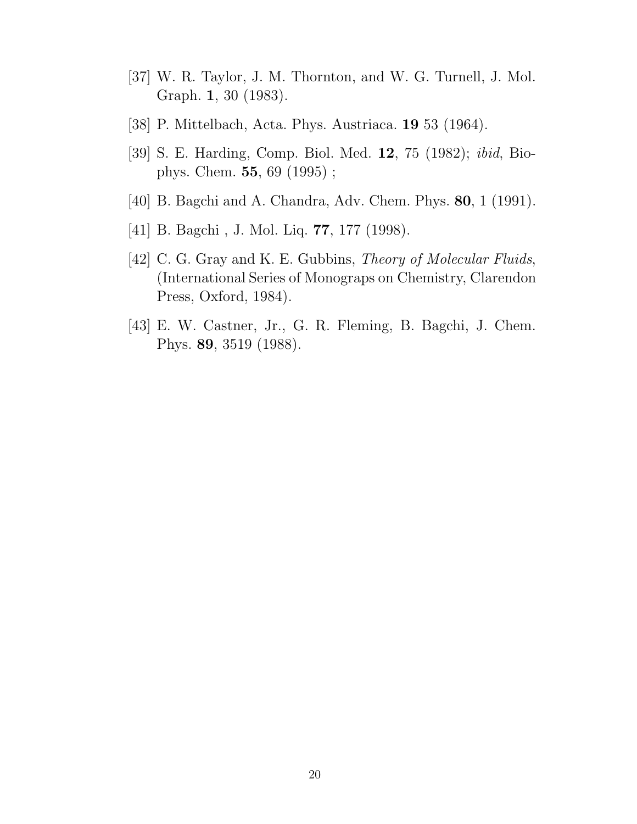- <span id="page-19-1"></span><span id="page-19-0"></span>[37] W. R. Taylor, J. M. Thornton, and W. G. Turnell, J. Mol. Graph. 1, 30 (1983).
- <span id="page-19-2"></span>[38] P. Mittelbach, Acta. Phys. Austriaca. 19 53 (1964).
- <span id="page-19-3"></span>[39] S. E. Harding, Comp. Biol. Med. 12, 75 (1982); ibid, Biophys. Chem. 55, 69 (1995) ;
- <span id="page-19-4"></span>[40] B. Bagchi and A. Chandra, Adv. Chem. Phys. 80, 1 (1991).
- <span id="page-19-5"></span>[41] B. Bagchi , J. Mol. Liq. 77, 177 (1998).
- [42] C. G. Gray and K. E. Gubbins, *Theory of Molecular Fluids*, (International Series of Monograps on Chemistry, Clarendon Press, Oxford, 1984).
- <span id="page-19-6"></span>[43] E. W. Castner, Jr., G. R. Fleming, B. Bagchi, J. Chem. Phys. 89, 3519 (1988).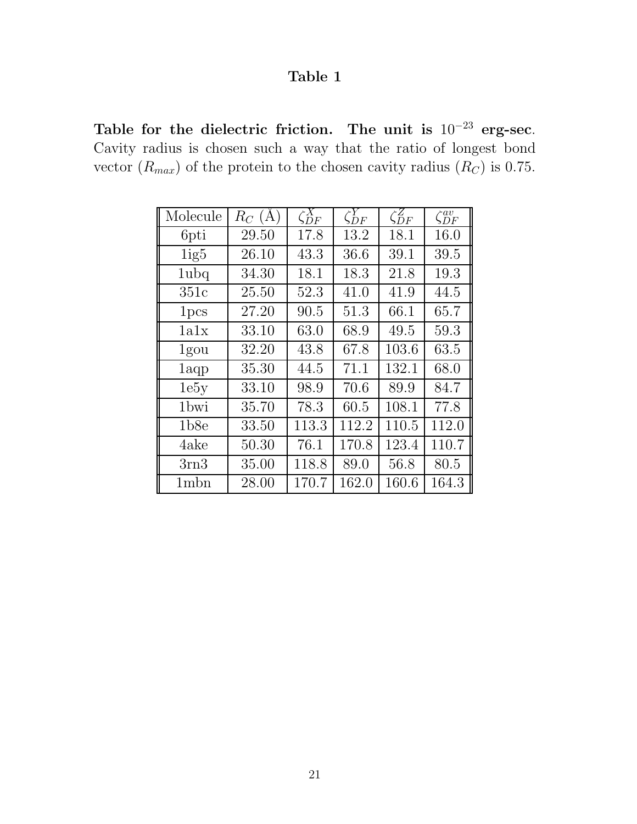Table for the dielectric friction. The unit is  $10^{-23}$  erg-sec. Cavity radius is chosen such a way that the ratio of longest bond vector  $(R_{max})$  of the protein to the chosen cavity radius  $(R_C)$  is 0.75.

| Molecule         | $R_C(A)$ | $\zeta_{DF}^X$ | $\zeta_{DF}^Y$ | $\zeta_{DF}^{Z}$ | $\zeta_{DF}^{av}$ |
|------------------|----------|----------------|----------------|------------------|-------------------|
| 6pti             | 29.50    | 17.8           | 13.2           | 18.1             | 16.0              |
| 1ig5             | 26.10    | 43.3           | 36.6           | 39.1             | 39.5              |
| 1ubq             | 34.30    | 18.1           | 18.3           | 21.8             | 19.3              |
| 351c             | 25.50    | 52.3           | 41.0           | 41.9             | 44.5              |
| 1 <sub>pcs</sub> | 27.20    | 90.5           | 51.3           | 66.1             | 65.7              |
| 1a1x             | 33.10    | 63.0           | 68.9           | 49.5             | 59.3              |
| 1gou             | 32.20    | 43.8           | 67.8           | 103.6            | 63.5              |
| 1aqp             | 35.30    | 44.5           | 71.1           | 132.1            | 68.0              |
| 1e5y             | 33.10    | 98.9           | 70.6           | 89.9             | 84.7              |
| 1 <sub>bwi</sub> | 35.70    | 78.3           | 60.5           | 108.1            | 77.8              |
| 1 <sub>b8e</sub> | 33.50    | 113.3          | 112.2          | 110.5            | 112.0             |
| 4ake             | 50.30    | 76.1           | 170.8          | 123.4            | 110.7             |
| $3 \rm{rn}$      | 35.00    | 118.8          | 89.0           | 56.8             | 80.5              |
| 1 <sub>mbn</sub> | 28.00    | 170.7          | 162.0          | 160.6            | 164.3             |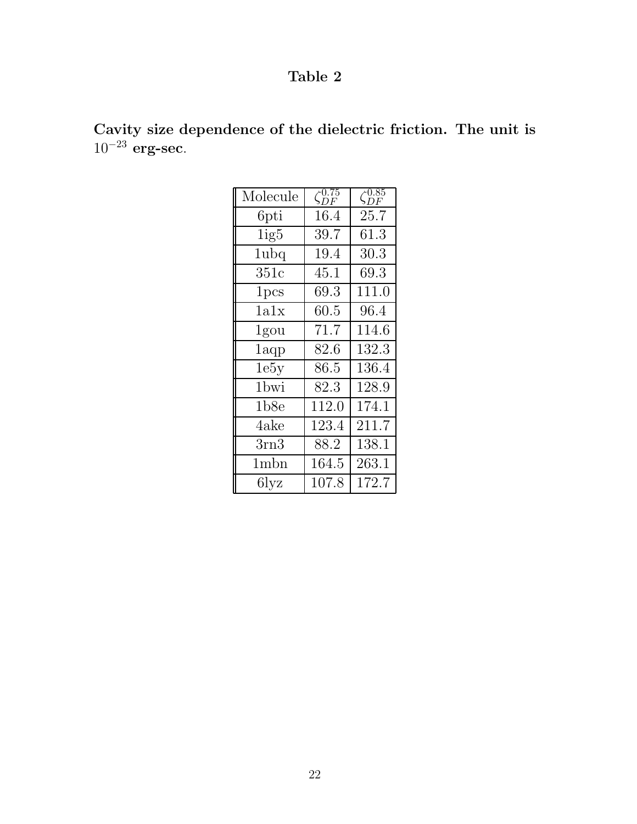| Molecule         | $\zeta_{DF}^{0.75}$ | $\zeta_{DF}^{0.85}$ |
|------------------|---------------------|---------------------|
| 6pti             | 16.4                | 25.7                |
| 1ig5             | 39.7                | 61.3                |
| 1ubq             | 19.4                | 30.3                |
| 351c             | 45.1                | 69.3                |
| 1 <sub>pcs</sub> | 69.3                | 111.0               |
| 1a1x             | 60.5                | 96.4                |
| 1gou             | 71.7                | 114.6               |
| 1aqp             | 82.6                | 132.3               |
| 1e5y             | 86.5                | 136.4               |
| 1bwi             | 82.3                | 128.9               |
| 1b8e             | 112.0               | 174.1               |
| 4ake             | 123.4               | 211.7               |
| 3rn3             | 88.2                | 138.1               |
| 1mbn             | 164.5               | 263.1               |
| 6lyz             | 107.8               | 172.7               |

Cavity size dependence of the dielectric friction. The unit is  $10^{-23}$  erg-sec.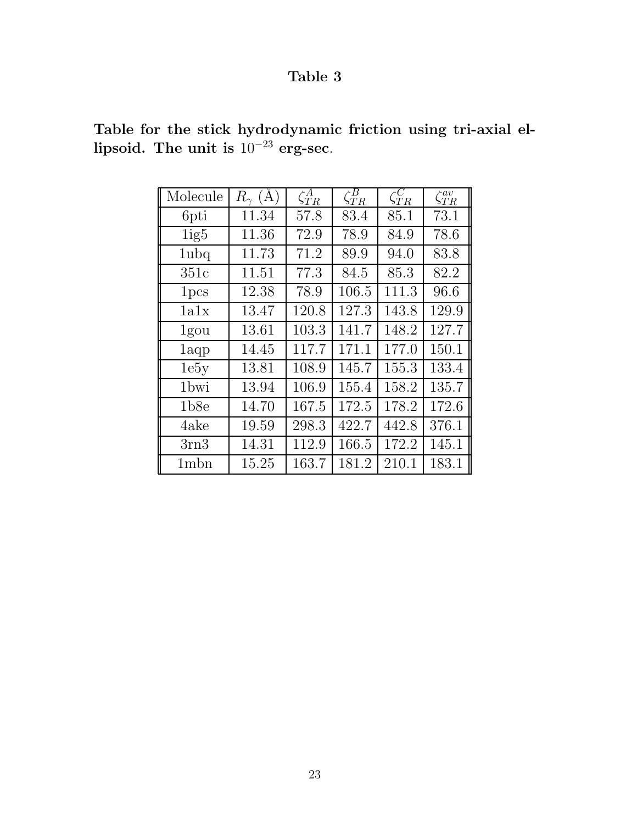| Molecule         | (A)<br>$R_{\gamma}$ | $\zeta^A_{TR}$ | $\zeta^B_{TR}$ | $\zeta_{TR}^C$ | $\zeta_{TR}^{av}$ |
|------------------|---------------------|----------------|----------------|----------------|-------------------|
| 6pti             | 11.34               | 57.8           | 83.4           | 85.1           | 73.1              |
| 1ig5             | 11.36               | 72.9           | 78.9           | 84.9           | 78.6              |
| 1ubq             | 11.73               | 71.2           | 89.9           | 94.0           | 83.8              |
| 351c             | 11.51               | 77.3           | 84.5           | 85.3           | 82.2              |
| 1 <sub>pcs</sub> | 12.38               | 78.9           | 106.5          | 111.3          | 96.6              |
| 1a1x             | 13.47               | 120.8          | 127.3          | 143.8          | 129.9             |
| 1gou             | 13.61               | 103.3          | 141.7          | 148.2          | 127.7             |
| 1aqp             | 14.45               | 117.7          | 171.1          | 177.0          | 150.1             |
| 1e5y             | 13.81               | 108.9          | 145.7          | 155.3          | 133.4             |
| 1 <sub>bwi</sub> | 13.94               | 106.9          | 155.4          | 158.2          | 135.7             |
| 1b8e             | 14.70               | 167.5          | 172.5          | 178.2          | 172.6             |
| 4ake             | 19.59               | 298.3          | 422.7          | 442.8          | 376.1             |
| 3rn3             | 14.31               | 112.9          | 166.5          | 172.2          | 145.1             |
| 1 <sub>mbn</sub> | 15.25               | 163.7          | 181.2          | 210.1          | 183.1             |

Table for the stick hydrodynamic friction using tri-axial ellipsoid. The unit is  $10^{-23}$  erg-sec.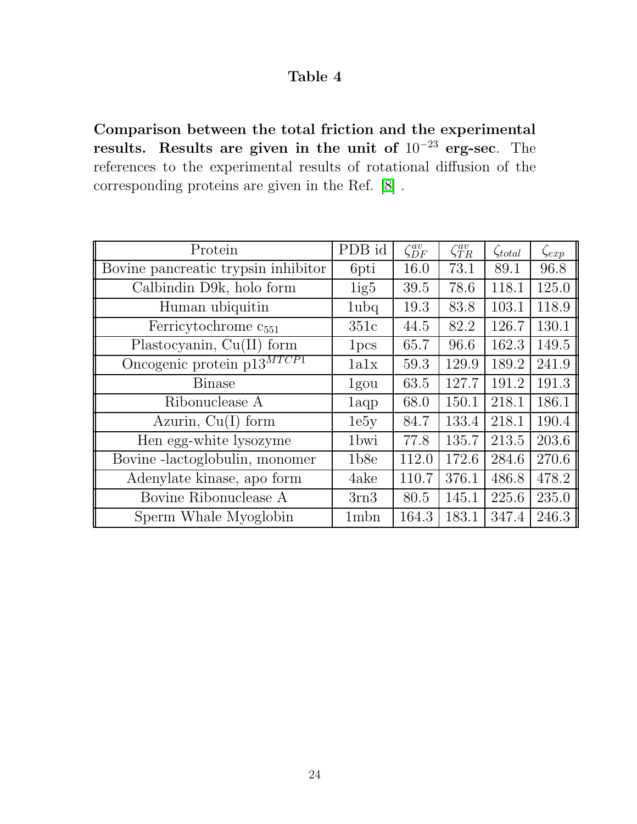Comparison between the total friction and the experimental results. Results are given in the unit of 10<sup>−</sup><sup>23</sup> erg-sec. The references to the experimental results of rotational diffusion of the corresponding proteins are given in the Ref. [\[8\]](#page-16-5) .

| Protein                             | PDB id           | $\zeta_{DF}^{av}$ | $\zeta_{TR}^{av}$ | $\zeta_{total}$ | $\zeta_{exp}$ |
|-------------------------------------|------------------|-------------------|-------------------|-----------------|---------------|
| Bovine pancreatic trypsin inhibitor | 6pti             | 16.0              | 73.1              | 89.1            | 96.8          |
| Calbindin D9k, holo form            | 1ig5             | 39.5              | 78.6              | 118.1           | 125.0         |
| Human ubiquitin                     | 1ubq             | 19.3              | 83.8              | 103.1           | 118.9         |
| Ferricytochrome c <sub>551</sub>    | 351c             | 44.5              | 82.2              | 126.7           | 130.1         |
| Plastocyanin, $Cu(II)$ form         | 1 <sub>pcs</sub> | 65.7              | 96.6              | 162.3           | 149.5         |
| Oncogenic protein $p13^{MTCP1}$     | 1a1x             | 59.3              | 129.9             | 189.2           | 241.9         |
| <b>Binase</b>                       | 1gou             | 63.5              | 127.7             | 191.2           | 191.3         |
| Ribonuclease A                      | 1aqp             | 68.0              | 150.1             | 218.1           | 186.1         |
| Azurin, $Cu(I)$ form                | 1e5y             | 84.7              | 133.4             | 218.1           | 190.4         |
| Hen egg-white lysozyme              | 1 <sub>bwi</sub> | 77.8              | 135.7             | 213.5           | 203.6         |
| Bovine -lactoglobulin, monomer      | 1b8e             | 112.0             | 172.6             | 284.6           | 270.6         |
| Adenylate kinase, apo form          | 4ake             | 110.7             | 376.1             | 486.8           | 478.2         |
| Bovine Ribonuclease A               | 3rn3             | 80.5              | 145.1             | 225.6           | 235.0         |
| Sperm Whale Myoglobin               | 1mbn             | 164.3             | 183.1             | 347.4           | 246.3         |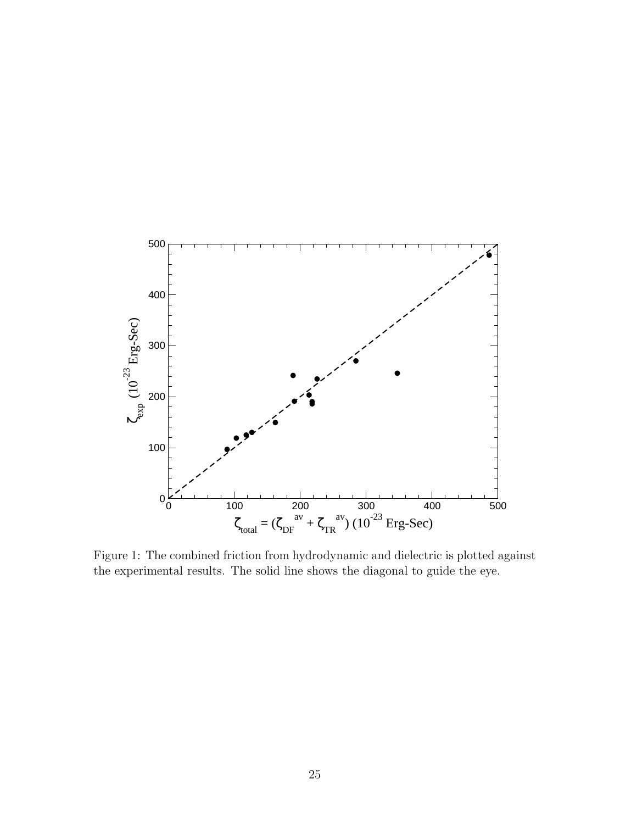

Figure 1: The combined friction from hydrodynamic and dielectric is plotted against the experimental results. The solid line shows the diagonal to guide the eye.